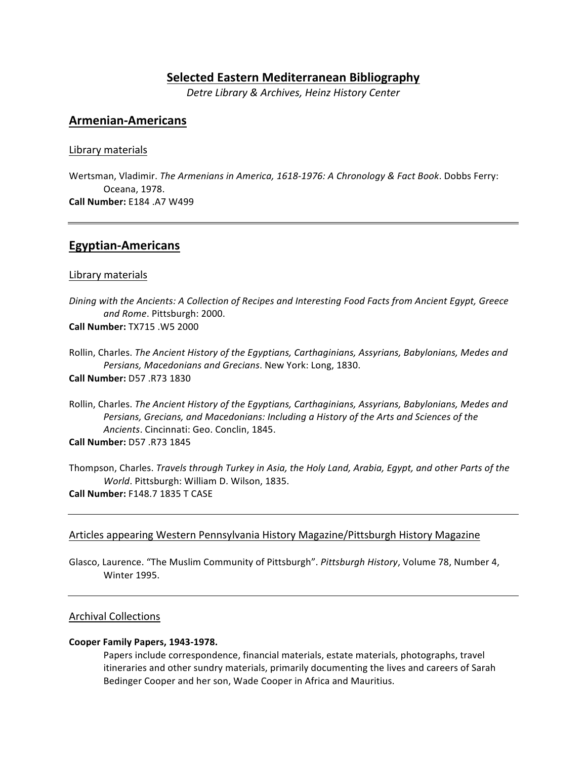# **Selected Eastern Mediterranean Bibliography**

*Detre Library & Archives, Heinz History Center*

# **Armenian-Americans**

#### Library materials

Wertsman, Vladimir. *The Armenians in America, 1618-1976: A Chronology & Fact Book*. Dobbs Ferry: Oceana, 1978. **Call Number:** E184 .A7 W499

# **Egyptian-Americans**

#### Library materials

*Dining* with the Ancients: A Collection of Recipes and Interesting Food Facts from Ancient Egypt, Greece *and Rome*. Pittsburgh: 2000. **Call Number:** TX715 .W5 2000

Rollin, Charles. *The Ancient History of the Egyptians, Carthaginians, Assyrians, Babylonians, Medes and* Persians, Macedonians and Grecians. New York: Long, 1830. **Call Number:** D57 .R73 1830

Rollin, Charles. *The Ancient History of the Egyptians, Carthaginians, Assyrians, Babylonians, Medes and* Persians, Grecians, and Macedonians: Including a History of the Arts and Sciences of the Ancients. Cincinnati: Geo. Conclin, 1845.

**Call Number:** D57 .R73 1845

Thompson, Charles. *Travels through Turkey in Asia, the Holy Land, Arabia, Egypt, and other Parts of the World*. Pittsburgh: William D. Wilson, 1835. **Call Number:** F148.7 1835 T CASE

### Articles appearing Western Pennsylvania History Magazine/Pittsburgh History Magazine

Glasco, Laurence. "The Muslim Community of Pittsburgh". Pittsburgh History, Volume 78, Number 4, **Winter 1995.** 

#### **Archival Collections**

#### **Cooper Family Papers, 1943-1978.**

Papers include correspondence, financial materials, estate materials, photographs, travel itineraries and other sundry materials, primarily documenting the lives and careers of Sarah Bedinger Cooper and her son, Wade Cooper in Africa and Mauritius.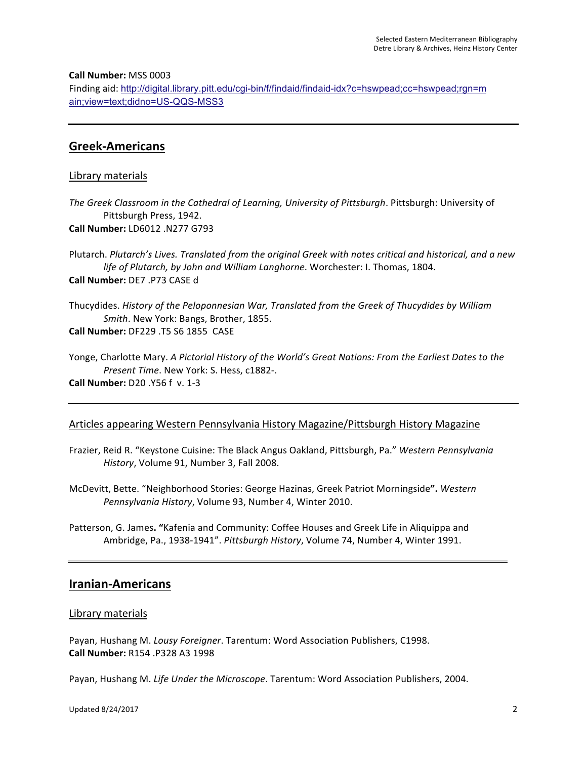#### **Call Number:** MSS 0003

Finding aid: http://digital.library.pitt.edu/cgi-bin/f/findaid/findaid-idx?c=hswpead;cc=hswpead;rgn=m ain;view=text;didno=US-QQS-MSS3

# **Greek-Americans**

#### Library materials

The Greek Classroom in the Cathedral of Learning, University of Pittsburgh. Pittsburgh: University of Pittsburgh Press, 1942. **Call Number:** LD6012 .N277 G793

Plutarch. Plutarch's Lives. Translated from the original Greek with notes critical and historical, and a new life of Plutarch, by John and William Langhorne. Worchester: I. Thomas, 1804. **Call Number:** DE7 .P73 CASE d

Thucydides. *History of the Peloponnesian War, Translated from the Greek of Thucydides by William Smith*. New York: Bangs, Brother, 1855. **Call Number:** DF229 .T5 S6 1855 CASE

Yonge, Charlotte Mary. *A Pictorial History of the World's Great Nations: From the Earliest Dates to the Present Time*. New York: S. Hess, c1882-. **Call Number:** D20 .Y56 f v. 1-3

### Articles appearing Western Pennsylvania History Magazine/Pittsburgh History Magazine

Frazier, Reid R. "Keystone Cuisine: The Black Angus Oakland, Pittsburgh, Pa." *Western Pennsylvania History*, Volume 91, Number 3, Fall 2008.

McDevitt, Bette. "Neighborhood Stories: George Hazinas, Greek Patriot Morningside**".** *Western*  Pennsylvania History, Volume 93, Number 4, Winter 2010.

Patterson, G. James. "Kafenia and Community: Coffee Houses and Greek Life in Aliquippa and Ambridge, Pa., 1938-1941". *Pittsburgh History*, Volume 74, Number 4, Winter 1991.

# **Iranian-Americans**

#### Library materials

Payan, Hushang M. *Lousy Foreigner*. Tarentum: Word Association Publishers, C1998. **Call Number:** R154 .P328 A3 1998

Payan, Hushang M. Life Under the Microscope. Tarentum: Word Association Publishers, 2004.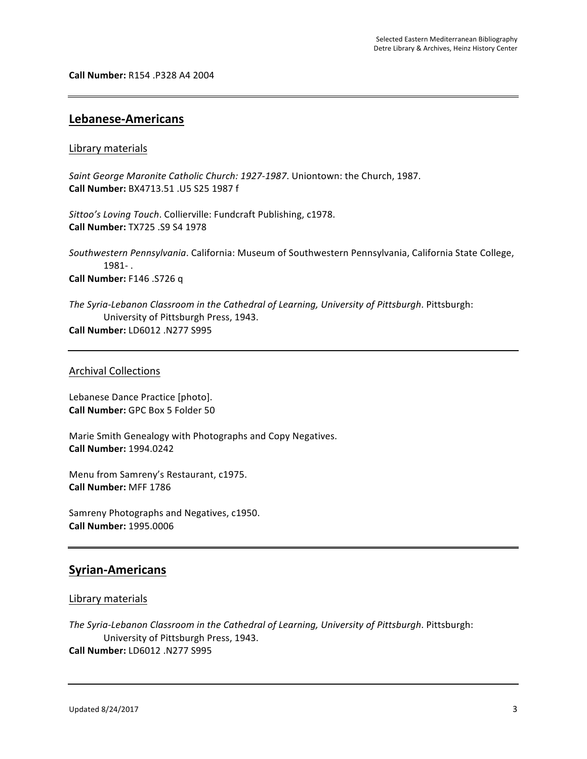**Call Number:** R154 .P328 A4 2004

## **Lebanese-Americans**

#### Library materials

Saint George Maronite Catholic Church: 1927-1987. Uniontown: the Church, 1987. **Call Number:** BX4713.51 .U5 S25 1987 f

Sittoo's Loving Touch. Collierville: Fundcraft Publishing, c1978. **Call Number:** TX725 .S9 S4 1978

Southwestern Pennsylvania. California: Museum of Southwestern Pennsylvania, California State College, 1981- . **Call Number:** F146 .S726 q

The Syria-Lebanon Classroom in the Cathedral of Learning, University of Pittsburgh. Pittsburgh: University of Pittsburgh Press, 1943. **Call Number:** LD6012 .N277 S995

#### Archival Collections

Lebanese Dance Practice [photo]. **Call Number:** GPC Box 5 Folder 50

Marie Smith Genealogy with Photographs and Copy Negatives. **Call Number:** 1994.0242

Menu from Samreny's Restaurant, c1975. **Call Number:** MFF 1786

Samreny Photographs and Negatives, c1950. **Call Number:** 1995.0006

# **Syrian-Americans**

#### Library materials

The Syria-Lebanon Classroom in the Cathedral of Learning, University of Pittsburgh. Pittsburgh: University of Pittsburgh Press, 1943. **Call Number:** LD6012 .N277 S995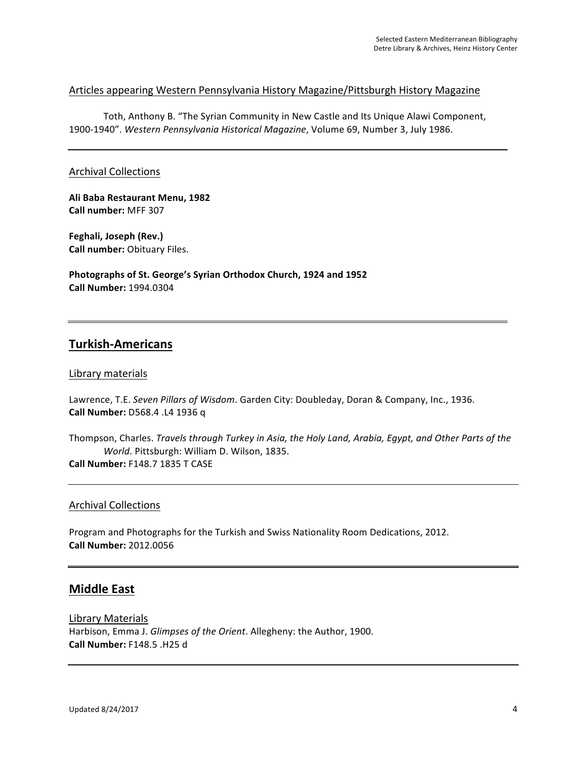## Articles appearing Western Pennsylvania History Magazine/Pittsburgh History Magazine

Toth, Anthony B. "The Syrian Community in New Castle and Its Unique Alawi Component, 1900-1940". Western Pennsylvania Historical Magazine, Volume 69, Number 3, July 1986.

### **Archival Collections**

**Ali Baba Restaurant Menu, 1982 Call number:** MFF 307

**Feghali, Joseph (Rev.) Call number: Obituary Files.** 

Photographs of St. George's Syrian Orthodox Church, 1924 and 1952 **Call Number:** 1994.0304

# **Turkish-Americans**

### Library materials

Lawrence, T.E. Seven Pillars of Wisdom. Garden City: Doubleday, Doran & Company, Inc., 1936. **Call Number:** D568.4 .L4 1936 q

Thompson, Charles. *Travels through Turkey in Asia, the Holy Land, Arabia, Egypt, and Other Parts of the World*. Pittsburgh: William D. Wilson, 1835. **Call Number:** F148.7 1835 T CASE

#### **Archival Collections**

Program and Photographs for the Turkish and Swiss Nationality Room Dedications, 2012. **Call Number:** 2012.0056

# **Middle East**

Library Materials Harbison, Emma J. *Glimpses of the Orient*. Allegheny: the Author, 1900. **Call Number:** F148.5 .H25 d